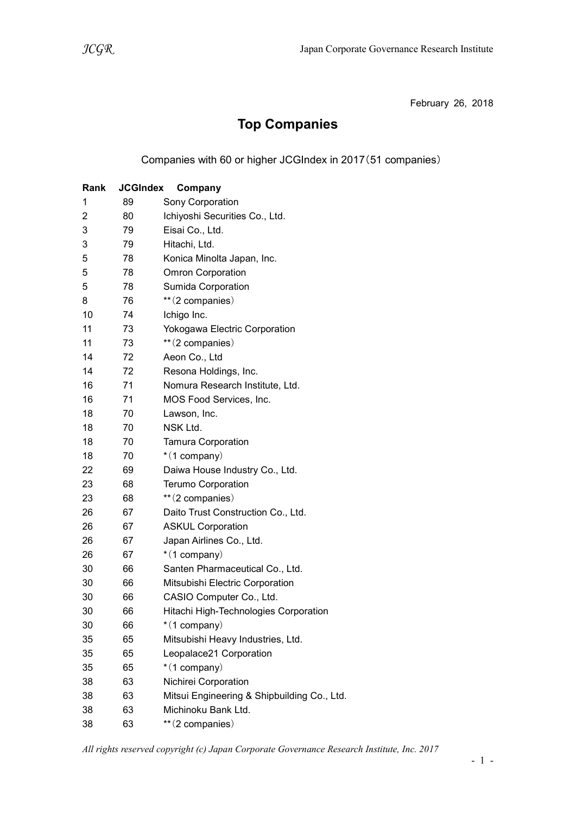February 26, 2018

## Top Companies

Companies with 60 or higher JCGIndex in 2017(51 companies)

| Rank | <b>JCGIndex</b> | Company                                     |
|------|-----------------|---------------------------------------------|
| 1    | 89              | Sony Corporation                            |
| 2    | 80              | Ichiyoshi Securities Co., Ltd.              |
| 3    | 79              | Eisai Co., Ltd.                             |
| 3    | 79              | Hitachi, Ltd.                               |
| 5    | 78              | Konica Minolta Japan, Inc.                  |
| 5    | 78              | <b>Omron Corporation</b>                    |
| 5    | 78              | Sumida Corporation                          |
| 8    | 76              | ** (2 companies)                            |
| 10   | 74              | Ichigo Inc.                                 |
| 11   | 73              | Yokogawa Electric Corporation               |
| 11   | 73              | ** (2 companies)                            |
| 14   | 72              | Aeon Co., Ltd                               |
| 14   | 72              | Resona Holdings, Inc.                       |
| 16   | 71              | Nomura Research Institute, Ltd.             |
| 16   | 71              | MOS Food Services, Inc.                     |
| 18   | 70              | Lawson, Inc.                                |
| 18   | 70              | NSK Ltd.                                    |
| 18   | 70              | <b>Tamura Corporation</b>                   |
| 18   | 70              | $*(1$ company)                              |
| 22   | 69              | Daiwa House Industry Co., Ltd.              |
| 23   | 68              | <b>Terumo Corporation</b>                   |
| 23   | 68              | ** (2 companies)                            |
| 26   | 67              | Daito Trust Construction Co., Ltd.          |
| 26   | 67              | <b>ASKUL Corporation</b>                    |
| 26   | 67              | Japan Airlines Co., Ltd.                    |
| 26   | 67              | $*(1$ company)                              |
| 30   | 66              | Santen Pharmaceutical Co., Ltd.             |
| 30   | 66              | Mitsubishi Electric Corporation             |
| 30   | 66              | CASIO Computer Co., Ltd.                    |
| 30   | 66              | Hitachi High-Technologies Corporation       |
| 30   | 66              | *(1 company)                                |
| 35   | 65              | Mitsubishi Heavy Industries, Ltd.           |
| 35   | 65              | Leopalace21 Corporation                     |
| 35   | 65              | $*(1$ company)                              |
| 38   | 63              | Nichirei Corporation                        |
| 38   | 63              | Mitsui Engineering & Shipbuilding Co., Ltd. |
| 38   | 63              | Michinoku Bank Ltd.                         |
| 38   | 63              | **(2 companies)                             |